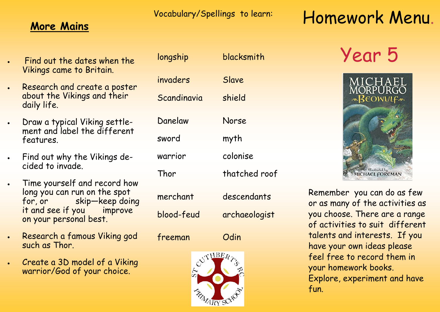Vocabulary/Spellings to learn:

## **More Mains**

- Find out the dates when the Vikings came to Britain.
- Research and create a poster about the Vikings and their daily life.
- Draw a typical Viking settlement and label the different features.
- Find out why the Vikings decided to invade.
- Time yourself and record how long you can run on the spot for, or skip—keep doing it and see if you improve on your personal best.
- Research a famous Viking god such as Thor.
- Create a 3D model of a Viking warrior/God of your choice.

| longship    | blacksmith    |
|-------------|---------------|
| invaders    | Slave         |
| Scandinavia | shield        |
| Danelaw     | Norse         |
| sword       | myth          |
| warrior     | colonise      |
| Thor        | thatched roof |
| merchant    | descendants   |
| blood-feud  | archaeologist |
|             |               |



freeman Odin

# Homework Menu.

# Year 5



Remember you can do as few or as many of the activities as you choose. There are a range of activities to suit different talents and interests. If you have your own ideas please feel free to record them in your homework books. Explore, experiment and have fun.